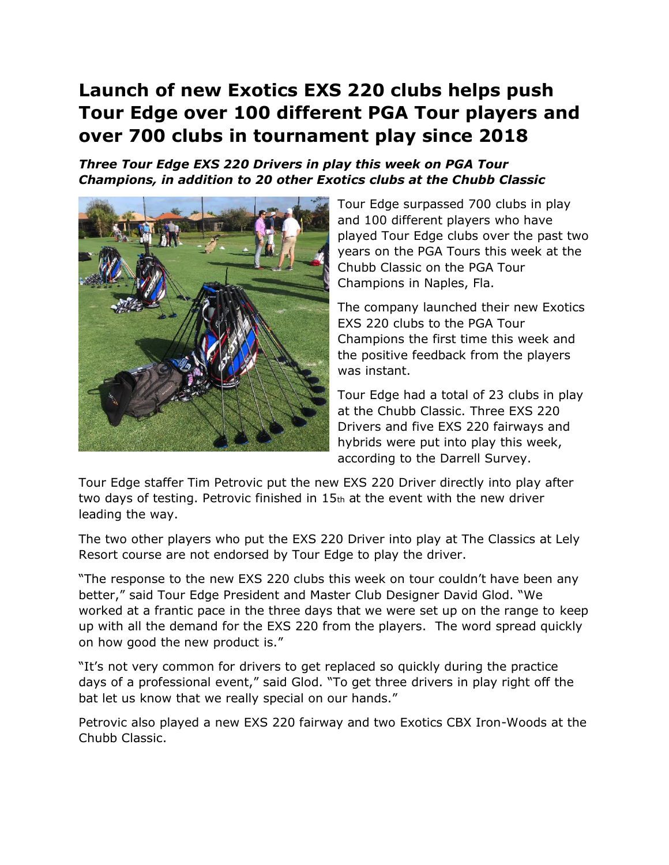## **Launch of new Exotics EXS 220 clubs helps push Tour Edge over 100 different PGA Tour players and over 700 clubs in tournament play since 2018**

*Three Tour Edge EXS 220 Drivers in play this week on PGA Tour Champions, in addition to 20 other Exotics clubs at the Chubb Classic* 



Tour Edge surpassed 700 clubs in play and 100 different players who have played Tour Edge clubs over the past two years on the PGA Tours this week at the Chubb Classic on the PGA Tour Champions in Naples, Fla.

The company launched their new Exotics EXS 220 clubs to the PGA Tour Champions the first time this week and the positive feedback from the players was instant.

Tour Edge had a total of 23 clubs in play at the Chubb Classic. Three EXS 220 Drivers and five EXS 220 fairways and hybrids were put into play this week, according to the Darrell Survey.

Tour Edge staffer Tim Petrovic put the new EXS 220 Driver directly into play after two days of testing. Petrovic finished in 15th at the event with the new driver leading the way.

The two other players who put the EXS 220 Driver into play at The Classics at Lely Resort course are not endorsed by Tour Edge to play the driver.

"The response to the new EXS 220 clubs this week on tour couldn't have been any better," said Tour Edge President and Master Club Designer David Glod. "We worked at a frantic pace in the three days that we were set up on the range to keep up with all the demand for the EXS 220 from the players. The word spread quickly on how good the new product is."

"It's not very common for drivers to get replaced so quickly during the practice days of a professional event," said Glod. "To get three drivers in play right off the bat let us know that we really special on our hands."

Petrovic also played a new EXS 220 fairway and two Exotics CBX Iron-Woods at the Chubb Classic.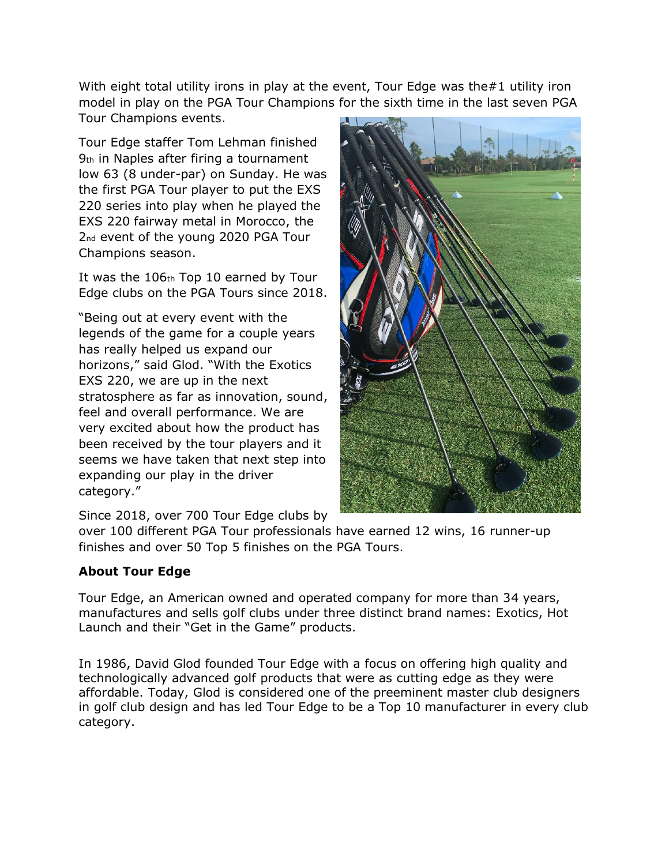With eight total utility irons in play at the event, Tour Edge was the#1 utility iron model in play on the PGA Tour Champions for the sixth time in the last seven PGA Tour Champions events.

Tour Edge staffer Tom Lehman finished 9th in Naples after firing a tournament low 63 (8 under-par) on Sunday. He was the first PGA Tour player to put the EXS 220 series into play when he played the EXS 220 fairway metal in Morocco, the 2nd event of the young 2020 PGA Tour Champions season.

It was the 106th Top 10 earned by Tour Edge clubs on the PGA Tours since 2018.

"Being out at every event with the legends of the game for a couple years has really helped us expand our horizons," said Glod. "With the Exotics EXS 220, we are up in the next stratosphere as far as innovation, sound, feel and overall performance. We are very excited about how the product has been received by the tour players and it seems we have taken that next step into expanding our play in the driver category."



Since 2018, over 700 Tour Edge clubs by

over 100 different PGA Tour professionals have earned 12 wins, 16 runner-up finishes and over 50 Top 5 finishes on the PGA Tours.

## **About Tour Edge**

Tour Edge, an American owned and operated company for more than 34 years, manufactures and sells golf clubs under three distinct brand names: Exotics, Hot Launch and their "Get in the Game" products.

In 1986, David Glod founded Tour Edge with a focus on offering high quality and technologically advanced golf products that were as cutting edge as they were affordable. Today, Glod is considered one of the preeminent master club designers in golf club design and has led Tour Edge to be a Top 10 manufacturer in every club category.